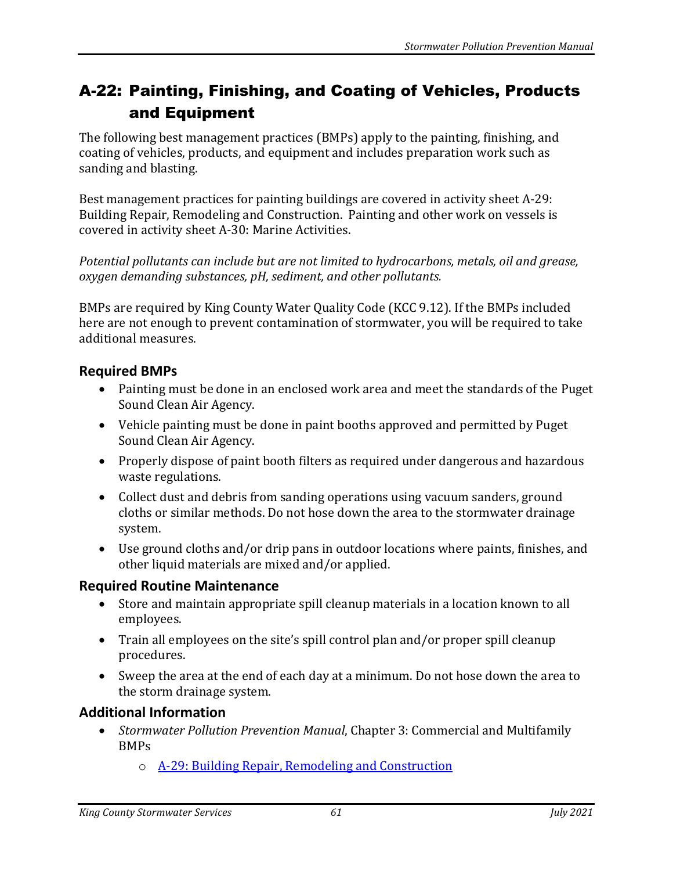## A-22: Painting, Finishing, and Coating of Vehicles, Products and Equipment

The following best management practices (BMPs) apply to the painting, finishing, and coating of vehicles, products, and equipment and includes preparation work such as sanding and blasting.

Best management practices for painting buildings are covered in activity sheet A-29: Building Repair, Remodeling and Construction. Painting and other work on vessels is covered in activity sheet A-30: Marine Activities.

*Potential pollutants can include but are not limited to hydrocarbons, metals, oil and grease, oxygen demanding substances, pH, sediment, and other pollutants.*

BMPs are required by King County Water Quality Code (KCC 9.12). If the BMPs included here are not enough to prevent contamination of stormwater, you will be required to take additional measures.

## **Required BMPs**

- Painting must be done in an enclosed work area and meet the standards of the Puget Sound Clean Air Agency.
- Vehicle painting must be done in paint booths approved and permitted by Puget Sound Clean Air Agency.
- Properly dispose of paint booth filters as required under dangerous and hazardous waste regulations.
- Collect dust and debris from sanding operations using vacuum sanders, ground cloths or similar methods. Do not hose down the area to the stormwater drainage system.
- Use ground cloths and/or drip pans in outdoor locations where paints, finishes, and other liquid materials are mixed and/or applied.

## **Required Routine Maintenance**

- Store and maintain appropriate spill cleanup materials in a location known to all employees.
- Train all employees on the site's spill control plan and/or proper spill cleanup procedures.
- Sweep the area at the end of each day at a minimum. Do not hose down the area to the storm drainage system.

## **Additional Information**

- *Stormwater Pollution Prevention Manual*, Chapter 3: Commercial and Multifamily BMPs
	- o [A-29: Building Repair, Remodeling and Construction](https://your.kingcounty.gov/dnrp/library/water-and-land/stormwater/stormwater-pollution-prevention-manual/a29-jul21.pdf)